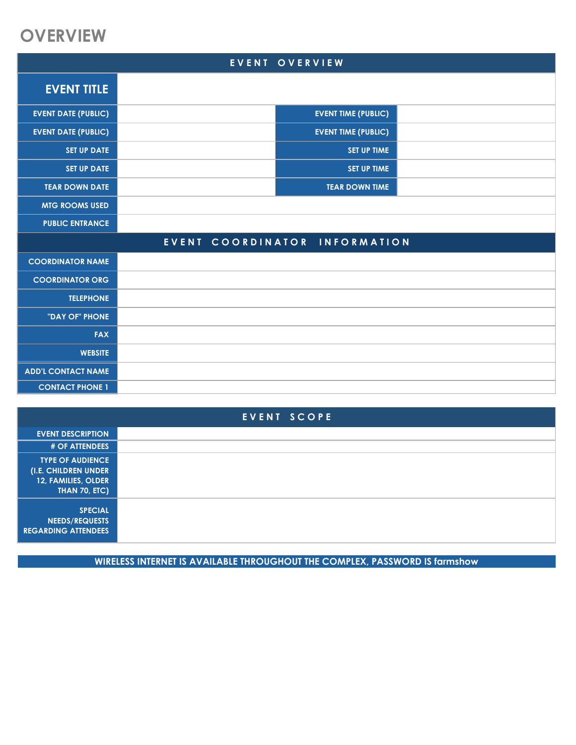### **OVERVIEW**

|                            |                      | EVENT OVERVIEW             |  |
|----------------------------|----------------------|----------------------------|--|
| <b>EVENT TITLE</b>         |                      |                            |  |
| <b>EVENT DATE (PUBLIC)</b> |                      | <b>EVENT TIME (PUBLIC)</b> |  |
| <b>EVENT DATE (PUBLIC)</b> |                      | <b>EVENT TIME (PUBLIC)</b> |  |
| <b>SET UP DATE</b>         |                      | <b>SET UP TIME</b>         |  |
| <b>SET UP DATE</b>         |                      | <b>SET UP TIME</b>         |  |
| <b>TEAR DOWN DATE</b>      |                      | <b>TEAR DOWN TIME</b>      |  |
| <b>MTG ROOMS USED</b>      |                      |                            |  |
| <b>PUBLIC ENTRANCE</b>     |                      |                            |  |
|                            | COORDINATOR<br>EVENT | <b>INFORMATION</b>         |  |
| <b>COORDINATOR NAME</b>    |                      |                            |  |
| <b>COORDINATOR ORG</b>     |                      |                            |  |
| <b>TELEPHONE</b>           |                      |                            |  |
| "DAY OF" PHONE             |                      |                            |  |
| <b>FAX</b>                 |                      |                            |  |
| <b>WEBSITE</b>             |                      |                            |  |
| <b>ADD'L CONTACT NAME</b>  |                      |                            |  |
| <b>CONTACT PHONE 1</b>     |                      |                            |  |

| EVENT SCOPE                                                                                    |  |  |
|------------------------------------------------------------------------------------------------|--|--|
| <b>EVENT DESCRIPTION</b>                                                                       |  |  |
| <b># OF ATTENDEES</b>                                                                          |  |  |
| <b>TYPE OF AUDIENCE</b><br>(I.E. CHILDREN UNDER<br>12, FAMILIES, OLDER<br><b>THAN 70, ETC)</b> |  |  |
| <b>SPECIAL</b><br><b>NEEDS/REQUESTS</b><br><b>REGARDING ATTENDEES</b>                          |  |  |

**WIRELESS INTERNET IS AVAILABLE THROUGHOUT THE COMPLEX, PASSWORD IS farmshow**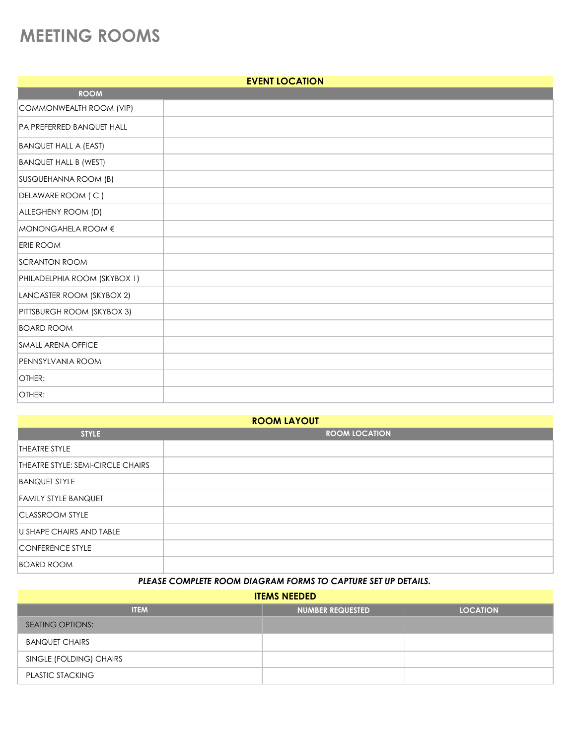# **MEETING ROOMS**

| <b>EVENT LOCATION</b>        |  |  |
|------------------------------|--|--|
| <b>ROOM</b>                  |  |  |
| COMMONWEALTH ROOM (VIP)      |  |  |
| PA PREFERRED BANQUET HALL    |  |  |
| <b>BANQUET HALL A (EAST)</b> |  |  |
| <b>BANQUET HALL B (WEST)</b> |  |  |
| SUSQUEHANNA ROOM (B)         |  |  |
| DELAWARE ROOM (C)            |  |  |
| ALLEGHENY ROOM (D)           |  |  |
| MONONGAHELA ROOM €           |  |  |
| <b>ERIE ROOM</b>             |  |  |
| <b>SCRANTON ROOM</b>         |  |  |
| PHILADELPHIA ROOM (SKYBOX 1) |  |  |
| LANCASTER ROOM (SKYBOX 2)    |  |  |
| PITTSBURGH ROOM (SKYBOX 3)   |  |  |
| <b>BOARD ROOM</b>            |  |  |
| <b>SMALL ARENA OFFICE</b>    |  |  |
| PENNSYLVANIA ROOM            |  |  |
| OTHER:                       |  |  |
| OTHER:                       |  |  |

| <b>ROOM LAYOUT</b>                |                      |  |
|-----------------------------------|----------------------|--|
| <b>STYLE</b>                      | <b>ROOM LOCATION</b> |  |
| <b>THEATRE STYLE</b>              |                      |  |
| THEATRE STYLE: SEMI-CIRCLE CHAIRS |                      |  |
| <b>BANQUET STYLE</b>              |                      |  |
| <b>FAMILY STYLE BANQUET</b>       |                      |  |
| <b>CLASSROOM STYLE</b>            |                      |  |
| <b>U SHAPE CHAIRS AND TABLE</b>   |                      |  |
| <b>CONFERENCE STYLE</b>           |                      |  |
| <b>BOARD ROOM</b>                 |                      |  |

#### *PLEASE COMPLETE ROOM DIAGRAM FORMS TO CAPTURE SET UP DETAILS.*

**ITEMS NEEDED**

| <b>ITEM</b>             | <b>NUMBER REQUESTED</b> | <b>LOCATION</b> |
|-------------------------|-------------------------|-----------------|
| <b>SEATING OPTIONS:</b> |                         |                 |
| <b>BANQUET CHAIRS</b>   |                         |                 |
| SINGLE (FOLDING) CHAIRS |                         |                 |
| <b>PLASTIC STACKING</b> |                         |                 |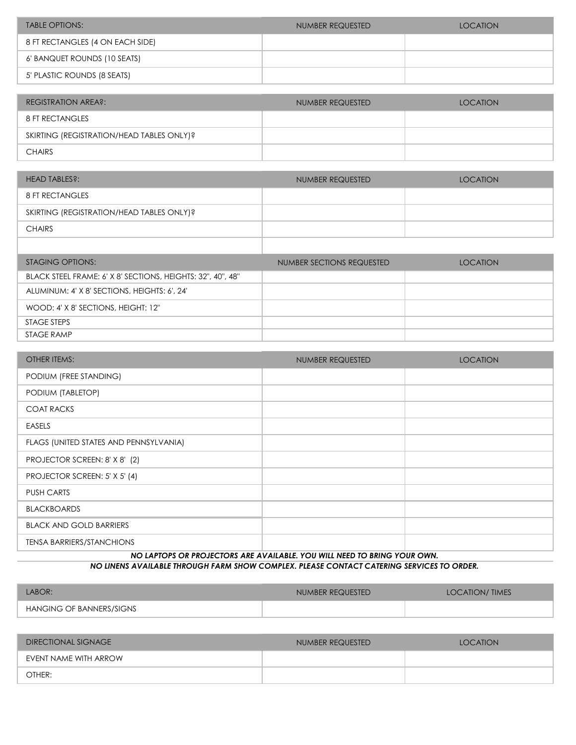| TABLE OPTIONS:                   | NUMBER REQUESTED | LOCATION |
|----------------------------------|------------------|----------|
| 8 FT RECTANGLES (4 ON EACH SIDE) |                  |          |
| 6' BANQUET ROUNDS (10 SEATS)     |                  |          |
| 5' PLASTIC ROUNDS (8 SEATS)      |                  |          |

| <b>REGISTRATION AREA?:</b>                | NUMBER REQUESTED | <b>LOCATION</b> |
|-------------------------------------------|------------------|-----------------|
| 8 FT RECTANGLES                           |                  |                 |
| SKIRTING (REGISTRATION/HEAD TABLES ONLY)? |                  |                 |
| <b>CHAIRS</b>                             |                  |                 |

| HEAD TABLES?:                             | NUMBER REQUESTED | <b>LOCATION</b> |
|-------------------------------------------|------------------|-----------------|
| 8 FT RECTANGLES                           |                  |                 |
| SKIRTING (REGISTRATION/HEAD TABLES ONLY)? |                  |                 |
| <b>CHAIRS</b>                             |                  |                 |
|                                           |                  |                 |

| STAGING OPTIONS:                                            | NUMBER SECTIONS REQUESTED | <b>LOCATION</b> |
|-------------------------------------------------------------|---------------------------|-----------------|
| BLACK STEEL FRAME: 6' X 8' SECTIONS, HEIGHTS: 32", 40", 48" |                           |                 |
| ALUMINUM: 4' X 8' SECTIONS, HEIGHTS: 6', 24'                |                           |                 |
| WOOD: 4' X 8' SECTIONS, HEIGHT: 12"                         |                           |                 |
| STAGE STEPS                                                 |                           |                 |
| STAGE RAMP                                                  |                           |                 |

| <b>OTHER ITEMS:</b>                    | NUMBER REQUESTED | <b>LOCATION</b> |
|----------------------------------------|------------------|-----------------|
| PODIUM (FREE STANDING)                 |                  |                 |
| PODIUM (TABLETOP)                      |                  |                 |
| <b>COAT RACKS</b>                      |                  |                 |
| <b>EASELS</b>                          |                  |                 |
| FLAGS (UNITED STATES AND PENNSYLVANIA) |                  |                 |
| PROJECTOR SCREEN: 8' X 8' (2)          |                  |                 |
| PROJECTOR SCREEN: 5' X 5' (4)          |                  |                 |
| <b>PUSH CARTS</b>                      |                  |                 |
| <b>BLACKBOARDS</b>                     |                  |                 |
| <b>BLACK AND GOLD BARRIERS</b>         |                  |                 |
| <b>TENSA BARRIERS/STANCHIONS</b>       |                  |                 |

*NO LINENS AVAILABLE THROUGH FARM SHOW COMPLEX. PLEASE CONTACT CATERING SERVICES TO ORDER. NO LAPTOPS OR PROJECTORS ARE AVAILABLE. YOU WILL NEED TO BRING YOUR OWN.* 

| LABOR:                   | NUMBER REQUESTED | <b>LOCATION/TIMES</b> |
|--------------------------|------------------|-----------------------|
| HANGING OF BANNERS/SIGNS |                  |                       |

| DIRECTIONAL SIGNAGE   | NUMBER REQUESTED | <b>LOCATION</b> |
|-----------------------|------------------|-----------------|
| EVENT NAME WITH ARROW |                  |                 |
| OTHER:                |                  |                 |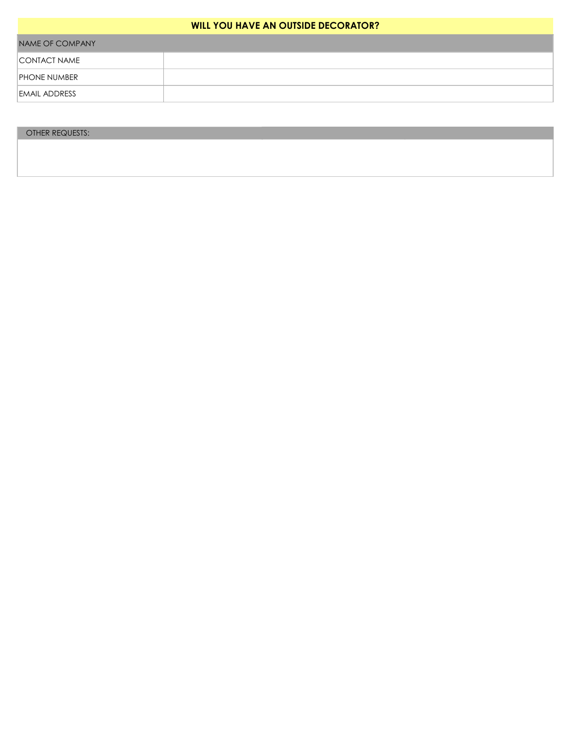#### **WILL YOU HAVE AN OUTSIDE DECORATOR?**

| NAME OF COMPANY      |  |  |
|----------------------|--|--|
| CONTACT NAME         |  |  |
| <b>PHONE NUMBER</b>  |  |  |
| <b>EMAIL ADDRESS</b> |  |  |

#### OTHER REQUESTS: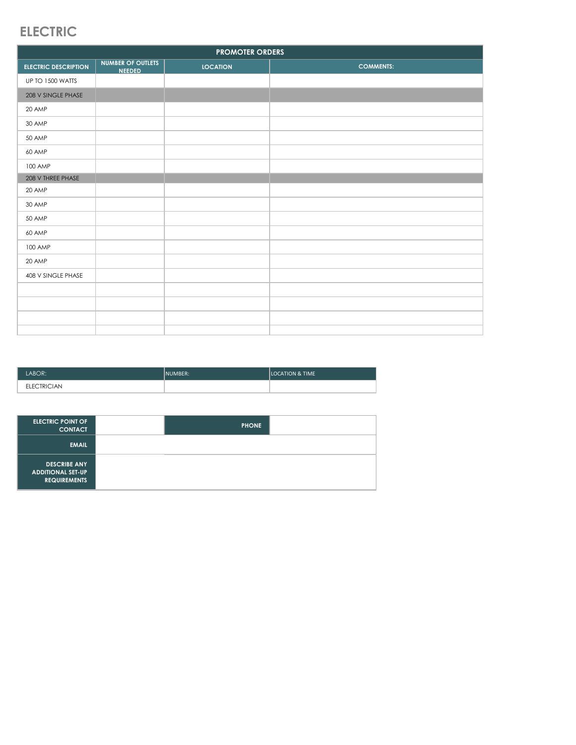### **ELECTRIC**

| <b>PROMOTER ORDERS</b>      |                                           |                 |                  |
|-----------------------------|-------------------------------------------|-----------------|------------------|
| <b>ELECTRIC DESCRIPTION</b> | <b>NUMBER OF OUTLETS</b><br><b>NEEDED</b> | <b>LOCATION</b> | <b>COMMENTS:</b> |
| UP TO 1500 WATTS            |                                           |                 |                  |
| 208 V SINGLE PHASE          |                                           |                 |                  |
| 20 AMP                      |                                           |                 |                  |
| 30 AMP                      |                                           |                 |                  |
| 50 AMP                      |                                           |                 |                  |
| 60 AMP                      |                                           |                 |                  |
| 100 AMP                     |                                           |                 |                  |
| 208 V THREE PHASE           |                                           |                 |                  |
| 20 AMP                      |                                           |                 |                  |
| 30 AMP                      |                                           |                 |                  |
| 50 AMP                      |                                           |                 |                  |
| 60 AMP                      |                                           |                 |                  |
| 100 AMP                     |                                           |                 |                  |
| 20 AMP                      |                                           |                 |                  |
| 408 V SINGLE PHASE          |                                           |                 |                  |
|                             |                                           |                 |                  |
|                             |                                           |                 |                  |
|                             |                                           |                 |                  |
|                             |                                           |                 |                  |

| LABOR:             | INUMBER: | <b>LOCATION &amp; TIME</b> |
|--------------------|----------|----------------------------|
| <b>ELECTRICIAN</b> |          |                            |

| <b>ELECTRIC POINT OF</b><br><b>CONTACT</b>                             | <b>PHONE</b> |  |
|------------------------------------------------------------------------|--------------|--|
| <b>EMAIL</b>                                                           |              |  |
| <b>DESCRIBE ANY</b><br><b>ADDITIONAL SET-UP</b><br><b>REQUIREMENTS</b> |              |  |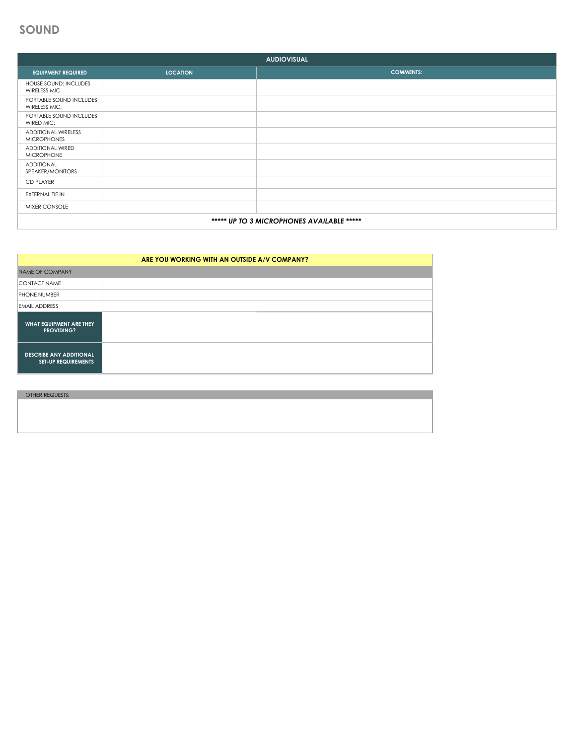### **SOUND**

| <b>AUDIOVISUAL</b>                               |                 |                  |
|--------------------------------------------------|-----------------|------------------|
| <b>EQUIPMENT REQUIRED</b>                        | <b>LOCATION</b> | <b>COMMENTS:</b> |
| HOUSE SOUND: INCLUDES<br><b>WIRELESS MIC</b>     |                 |                  |
| PORTABLE SOUND INCLUDES<br>WIRELESS MIC:         |                 |                  |
| PORTABLE SOUND INCLUDES<br>WIRED MIC:            |                 |                  |
| <b>ADDITIONAL WIRELESS</b><br><b>MICROPHONES</b> |                 |                  |
| <b>ADDITIONAL WIRED</b><br><b>MICROPHONE</b>     |                 |                  |
| <b>ADDITIONAL</b><br>SPEAKER/MONITORS            |                 |                  |
| <b>CD PLAYER</b>                                 |                 |                  |
| EXTERNAL TIE IN                                  |                 |                  |
| MIXER CONSOLE                                    |                 |                  |
| ***** UP TO 3 MICROPHONES AVAILABLE *****        |                 |                  |

| ARE YOU WORKING WITH AN OUTSIDE A/V COMPANY?                 |  |  |
|--------------------------------------------------------------|--|--|
| <b>NAME OF COMPANY</b>                                       |  |  |
| <b>CONTACT NAME</b>                                          |  |  |
| <b>PHONE NUMBER</b>                                          |  |  |
| <b>EMAIL ADDRESS</b>                                         |  |  |
| WHAT EQUIPMENT ARE THEY<br><b>PROVIDING?</b>                 |  |  |
| <b>DESCRIBE ANY ADDITIONAL</b><br><b>SET-UP REQUIREMENTS</b> |  |  |

OTHER REQUESTS: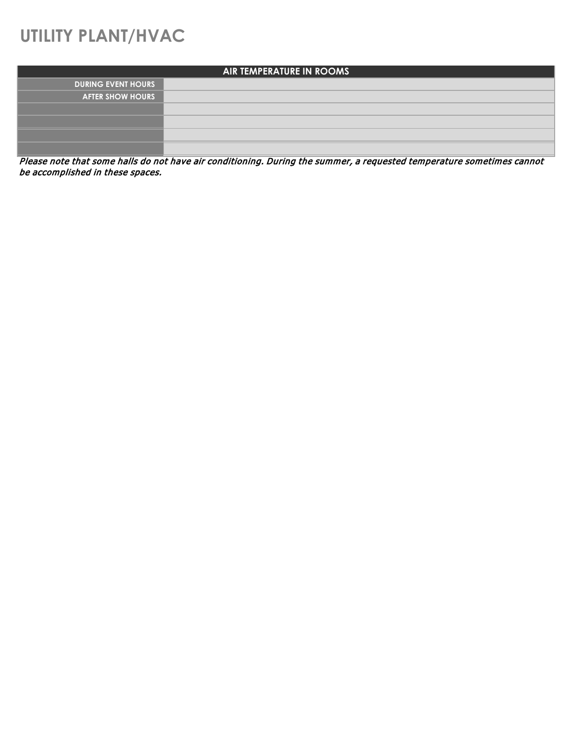## **UTILITY PLANT/HVAC**

| AIR TEMPERATURE IN ROOMS  |  |  |
|---------------------------|--|--|
| <b>DURING EVENT HOURS</b> |  |  |
| <b>AFTER SHOW HOURS</b>   |  |  |
|                           |  |  |
|                           |  |  |
|                           |  |  |
|                           |  |  |

Please note that some halls do not have air conditioning. During the summer, a requested temperature sometimes cannot be accomplished in these spaces.